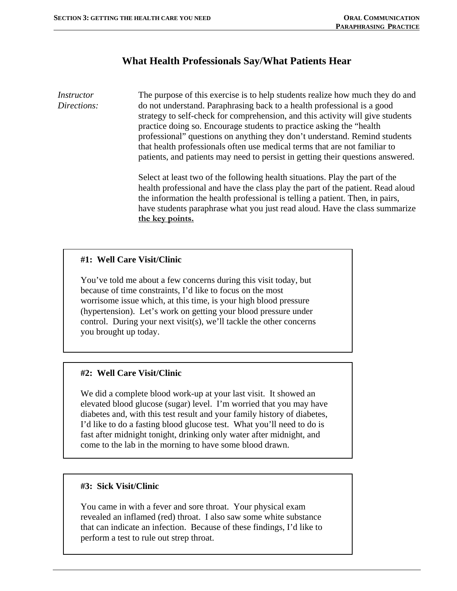# **What Health Professionals Say/What Patients Hear**

*Instructor Directions:*  The purpose of this exercise is to help students realize how much they do and do not understand. Paraphrasing back to a health professional is a good strategy to self-check for comprehension, and this activity will give students practice doing so. Encourage students to practice asking the "health professional" questions on anything they don't understand. Remind students that health professionals often use medical terms that are not familiar to patients, and patients may need to persist in getting their questions answered.

> Select at least two of the following health situations. Play the part of the health professional and have the class play the part of the patient. Read aloud the information the health professional is telling a patient. Then, in pairs, have students paraphrase what you just read aloud. Have the class summarize **the key points.**

## **#1: Well Care Visit/Clinic**

You've told me about a few concerns during this visit today, but because of time constraints, I'd like to focus on the most worrisome issue which, at this time, is your high blood pressure (hypertension). Let's work on getting your blood pressure under control. During your next visit(s), we'll tackle the other concerns you brought up today.

### **#2: Well Care Visit/Clinic**

We did a complete blood work-up at your last visit. It showed an elevated blood glucose (sugar) level. I'm worried that you may have diabetes and, with this test result and your family history of diabetes, I'd like to do a fasting blood glucose test. What you'll need to do is fast after midnight tonight, drinking only water after midnight, and come to the lab in the morning to have some blood drawn.

#### **#3: Sick Visit/Clinic**

You came in with a fever and sore throat. Your physical exam revealed an inflamed (red) throat. I also saw some white substance that can indicate an infection. Because of these findings, I'd like to perform a test to rule out strep throat.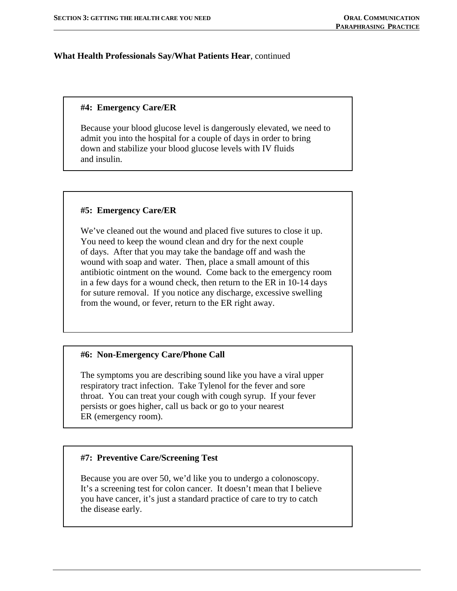### **What Health Professionals Say/What Patients Hear**, continued

### **#4: Emergency Care/ER**

Because your blood glucose level is dangerously elevated, we need to admit you into the hospital for a couple of days in order to bring down and stabilize your blood glucose levels with IV fluids and insulin.

### **#5: Emergency Care/ER**

We've cleaned out the wound and placed five sutures to close it up. You need to keep the wound clean and dry for the next couple of days. After that you may take the bandage off and wash the wound with soap and water. Then, place a small amount of this antibiotic ointment on the wound. Come back to the emergency room in a few days for a wound check, then return to the ER in 10-14 days for suture removal. If you notice any discharge, excessive swelling from the wound, or fever, return to the ER right away.

#### **#6: Non-Emergency Care/Phone Call**

The symptoms you are describing sound like you have a viral upper respiratory tract infection. Take Tylenol for the fever and sore throat. You can treat your cough with cough syrup. If your fever persists or goes higher, call us back or go to your nearest ER (emergency room).

#### **#7: Preventive Care/Screening Test**

Because you are over 50, we'd like you to undergo a colonoscopy. It's a screening test for colon cancer. It doesn't mean that I believe you have cancer, it's just a standard practice of care to try to catch the disease early.